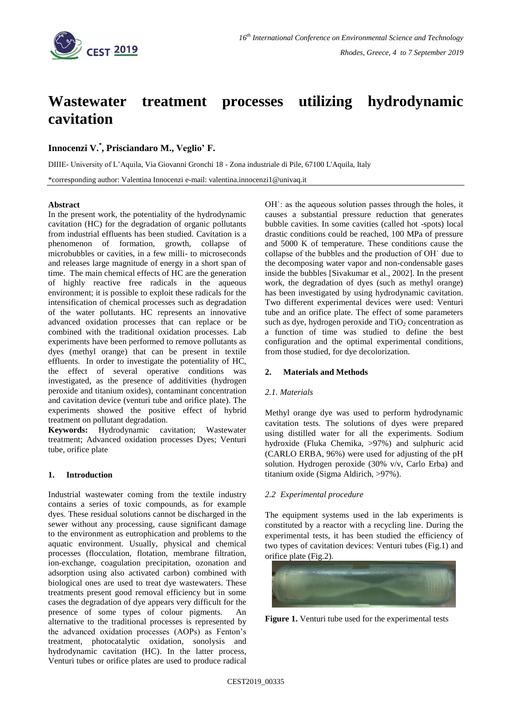

# **Wastewater treatment processes utilizing hydrodynamic cavitation**

## **Innocenzi V. \* , Prisciandaro M., Veglio' F.**

DIIIE- University of L'Aquila, Via Giovanni Gronchi 18 - Zona industriale di Pile, 67100 L'Aquila, Italy

\*corresponding author: Valentina Innocenzi e-mail: valentina.innocenzi1@univaq.it

#### **Abstract**

In the present work, the potentiality of the hydrodynamic cavitation (HC) for the degradation of organic pollutants from industrial effluents has been studied. Cavitation is a phenomenon of formation, growth, collapse of microbubbles or cavities, in a few milli- to microseconds and releases large magnitude of energy in a short span of time. The main chemical effects of HC are the generation of highly reactive free radicals in the aqueous environment; it is possible to exploit these radicals for the intensification of chemical processes such as degradation of the water pollutants. HC represents an innovative advanced oxidation processes that can replace or be combined with the traditional oxidation processes. Lab experiments have been performed to remove pollutants as dyes (methyl orange) that can be present in textile effluents. In order to investigate the potentiality of HC, the effect of several operative conditions was investigated, as the presence of additivities (hydrogen peroxide and titanium oxides), contaminant concentration and cavitation device (venturi tube and orifice plate). The experiments showed the positive effect of hybrid treatment on pollutant degradation.

**Keywords:** Hydrodynamic cavitation; Wastewater treatment; Advanced oxidation processes Dyes; Venturi tube, orifice plate

### **1. Introduction**

Industrial wastewater coming from the textile industry contains a series of toxic compounds, as for example dyes. These residual solutions cannot be discharged in the sewer without any processing, cause significant damage to the environment as eutrophication and problems to the aquatic environment. Usually, physical and chemical processes (flocculation, flotation, membrane filtration, ion-exchange, coagulation precipitation, ozonation and adsorption using also activated carbon) combined with biological ones are used to treat dye wastewaters. These treatments present good removal efficiency but in some cases the degradation of dye appears very difficult for the presence of some types of colour pigments. An alternative to the traditional processes is represented by the advanced oxidation processes (AOPs) as Fenton's treatment, photocatalytic oxidation, sonolysis and hydrodynamic cavitation (HC). In the latter process, Venturi tubes or orifice plates are used to produce radical OH˙: as the aqueous solution passes through the holes, it causes a substantial pressure reduction that generates bubble cavities. In some cavities (called hot -spots) local drastic conditions could be reached, 100 MPa of pressure and 5000 K of temperature. These conditions cause the collapse of the bubbles and the production of OH˙ due to the decomposing water vapor and non-condensable gases inside the bubbles [Sivakumar et al., 2002]. In the present work, the degradation of dyes (such as methyl orange) has been investigated by using hydrodynamic cavitation. Two different experimental devices were used: Venturi tube and an orifice plate. The effect of some parameters such as dye, hydrogen peroxide and  $TiO<sub>2</sub>$  concentration as a function of time was studied to define the best configuration and the optimal experimental conditions, from those studied, for dye decolorization.

### **2. Materials and Methods**

### *2.1. Materials*

Methyl orange dye was used to perform hydrodynamic cavitation tests. The solutions of dyes were prepared using distilled water for all the experiments. Sodium hydroxide (Fluka Chemika, >97%) and sulphuric acid (CARLO ERBA, 96%) were used for adjusting of the pH solution. Hydrogen peroxide (30% v/v, Carlo Erba) and titanium oxide (Sigma Aldirich, >97%).

### *2.2 Experimental procedure*

The equipment systems used in the lab experiments is constituted by a reactor with a recycling line. During the experimental tests, it has been studied the efficiency of two types of cavitation devices: Venturi tubes (Fig.1) and orifice plate (Fig.2).



Figure 1. Venturi tube used for the experimental tests